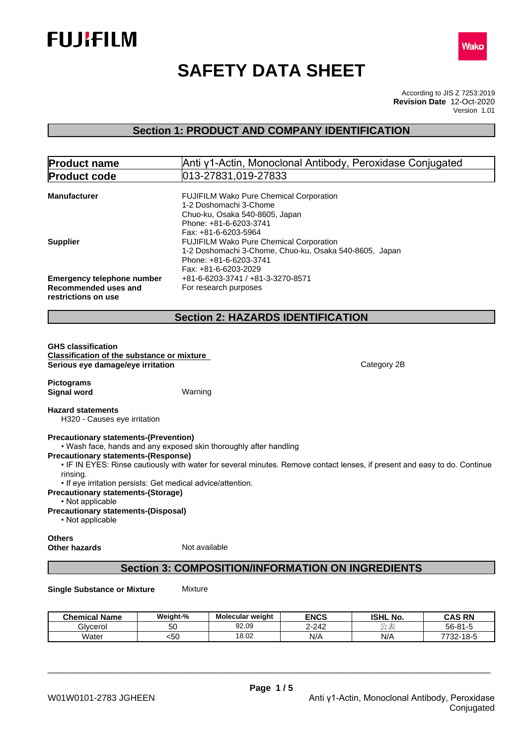



# **SAFETY DATA SHEET**

According to JIS Z 7253:2019 Version 1.01 **Revision Date** 12-Oct-2020

## **Section 1: PRODUCT AND COMPANY IDENTIFICATION**

| <b>Product name</b>                                                                                                                                                   |                                                                                                                                                       | Anti γ1-Actin, Monoclonal Antibody, Peroxidase Conjugated                                                                 |
|-----------------------------------------------------------------------------------------------------------------------------------------------------------------------|-------------------------------------------------------------------------------------------------------------------------------------------------------|---------------------------------------------------------------------------------------------------------------------------|
| <b>Product code</b>                                                                                                                                                   | 013-27831,019-27833                                                                                                                                   |                                                                                                                           |
| <b>Manufacturer</b>                                                                                                                                                   | FUJIFILM Wako Pure Chemical Corporation<br>1-2 Doshomachi 3-Chome<br>Chuo-ku, Osaka 540-8605, Japan<br>Phone: +81-6-6203-3741<br>Fax: +81-6-6203-5964 |                                                                                                                           |
| <b>Supplier</b>                                                                                                                                                       | FUJIFILM Wako Pure Chemical Corporation<br>1-2 Doshomachi 3-Chome, Chuo-ku, Osaka 540-8605, Japan<br>Phone: +81-6-6203-3741<br>Fax: +81-6-6203-2029   |                                                                                                                           |
| <b>Emergency telephone number</b><br><b>Recommended uses and</b><br>restrictions on use                                                                               | +81-6-6203-3741 / +81-3-3270-8571<br>For research purposes                                                                                            |                                                                                                                           |
|                                                                                                                                                                       | <b>Section 2: HAZARDS IDENTIFICATION</b>                                                                                                              |                                                                                                                           |
| <b>GHS classification</b><br><b>Classification of the substance or mixture</b><br>Serious eye damage/eye irritation<br><b>Pictograms</b><br><b>Signal word</b>        | Warning                                                                                                                                               | Category 2B                                                                                                               |
| <b>Hazard statements</b><br>H320 - Causes eye irritation                                                                                                              |                                                                                                                                                       |                                                                                                                           |
| <b>Precautionary statements-(Prevention)</b><br><b>Precautionary statements-(Response)</b><br>rinsing.<br>• If eye irritation persists: Get medical advice/attention. | . Wash face, hands and any exposed skin thoroughly after handling                                                                                     | . IF IN EYES: Rinse cautiously with water for several minutes. Remove contact lenses, if present and easy to do. Continue |
| <b>Precautionary statements-(Storage)</b><br>• Not applicable<br><b>Precautionary statements-(Disposal)</b><br>• Not applicable                                       |                                                                                                                                                       |                                                                                                                           |
| <b>Others</b><br><b>Other hazards</b>                                                                                                                                 | Not available                                                                                                                                         |                                                                                                                           |

## **Section 3: COMPOSITION/INFORMATION ON INGREDIENTS**

**Single Substance or Mixture** Mixture

| <b>Chemical Name</b> | Weight-%     | Molecular weight | <b>ENCS</b> | <b>ISHL No.</b> | <b>CAS RN</b>              |
|----------------------|--------------|------------------|-------------|-----------------|----------------------------|
| Glvcerol             | 50           | 92.09            | $2 - 242$   | $-$             | 56-81                      |
| <b>Water</b>         | $ \sim$<br>╰ | 18.02            | .<br>N/F    | N/A             | 10E<br>7700<br>-5-0<br>∙∠ت |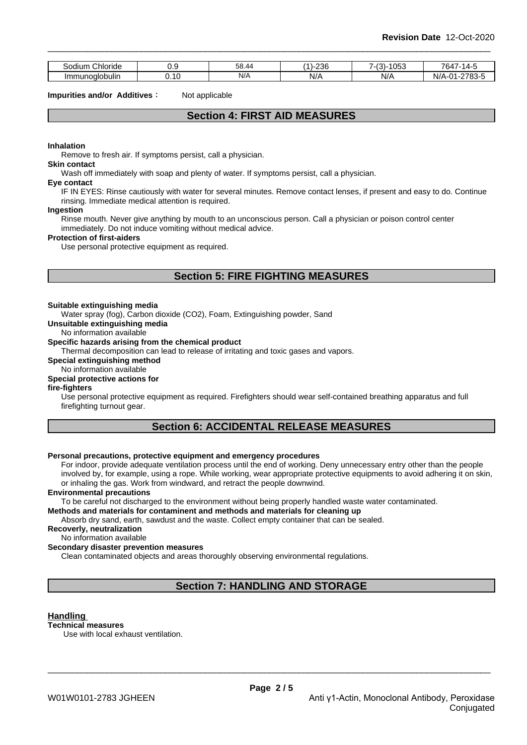| -<br>-<br>Chloride<br>Sodium | v.v | $\sim$<br>38.4 <sup>Z</sup>                | 236<br>(A)<br>. | -<br>053<br>$\sqrt{ }$<br>∵ - ا ت | 764.<br>$\overline{ }$                                               |
|------------------------------|-----|--------------------------------------------|-----------------|-----------------------------------|----------------------------------------------------------------------|
| . .<br>Immunoalobulin        | .   | N/A<br>and the contract of the contract of | NI/<br>ייש      | N/A                               | 2702E<br>$\mathsf{A}$<br>N/A<br>-1037ء -<br>.<br>$\cdot$<br><u>.</u> |

**Impurities and/or Additives:** Not applicable

## **Section 4: FIRST AID MEASURES**

#### **Inhalation**

Remove to fresh air. If symptoms persist, call a physician.

#### **Skin contact**

Wash off immediately with soap and plenty of water. If symptoms persist, call a physician.

#### **Eye contact**

IF IN EYES: Rinse cautiously with water for several minutes. Remove contact lenses, if present and easy to do. Continue rinsing. Immediate medical attention is required.

#### **Ingestion**

Rinse mouth. Never give anything by mouth to an unconscious person. Call a physician or poison control center immediately. Do not induce vomiting without medical advice.

#### **Protection of first-aiders**

Use personal protective equipment as required.

## **Section 5: FIRE FIGHTING MEASURES**

#### **Suitable extinguishing media**

Water spray (fog), Carbon dioxide (CO2), Foam, Extinguishing powder, Sand

**Unsuitable extinguishing media**

#### No information available

#### **Specific hazards arising from the chemical product**

Thermal decomposition can lead to release of irritating and toxic gases and vapors.

#### **Special extinguishing method**

#### No information available

### **Special protective actions for**

#### **fire-fighters**

Use personal protective equipment as required.Firefighters should wear self-contained breathing apparatus and full firefighting turnout gear.

## **Section 6: ACCIDENTAL RELEASE MEASURES**

#### **Personal precautions, protective equipment and emergency procedures**

For indoor, provide adequate ventilation process until the end of working. Deny unnecessary entry other than the people involved by, for example, using a rope. While working, wear appropriate protective equipments to avoid adhering it on skin, or inhaling the gas. Work from windward, and retract the people downwind.

#### **Environmental precautions**

To be careful not discharged to the environment without being properly handled waste water contaminated.

#### **Methods and materials for contaminent and methods and materials for cleaning up**

Absorb dry sand, earth, sawdust and the waste. Collect empty container that can be sealed.

### **Recoverly, neutralization**

No information available

#### **Secondary disaster prevention measures**

Clean contaminated objects and areas thoroughly observing environmental regulations.

## **Section 7: HANDLING AND STORAGE**

#### **Handling**

**Technical measures**

Use with local exhaust ventilation.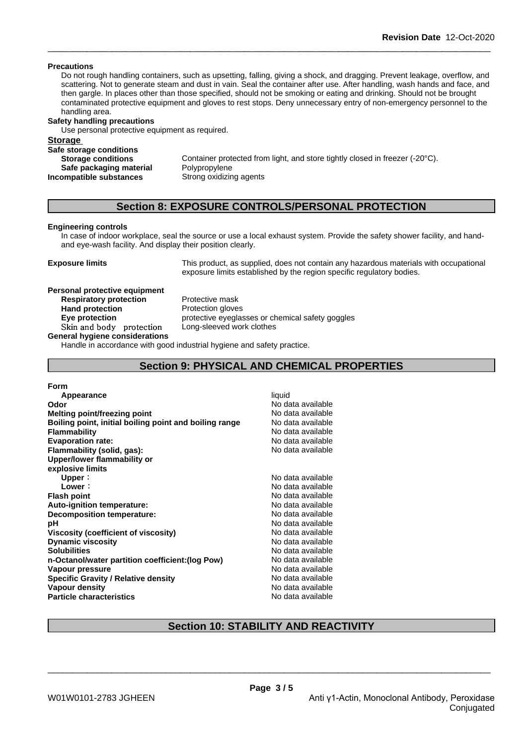#### **Precautions**

Do not rough handling containers, such as upsetting, falling, giving a shock, and dragging. Prevent leakage, overflow, and scattering. Not to generate steam and dust in vain. Seal the container after use. After handling, wash hands and face, and then gargle. In places other than those specified, should not be smoking or eating and drinking. Should not be brought contaminated protective equipment and gloves to rest stops. Deny unnecessary entry of non-emergency personnel to the handling area.

#### **Safety handling precautions**

Use personal protective equipment as required.

# **Storage**

| Safe storage conditions   |                                                                              |
|---------------------------|------------------------------------------------------------------------------|
| <b>Storage conditions</b> | Container protected from light, and store tightly closed in freezer (-20°C). |
| Safe packaging material   | Polypropylene                                                                |
| Incompatible substances   | Strong oxidizing agents                                                      |

## **Section 8: EXPOSURE CONTROLS/PERSONAL PROTECTION**

#### **Engineering controls**

In case of indoor workplace, seal the source or use a local exhaust system. Provide the safety shower facility, and handand eye-wash facility. And display their position clearly.

**Exposure limits** This product, as supplied, does not contain any hazardous materials with occupational exposure limits established by the region specific regulatory bodies.

#### **Personal protective equipment**

**Respiratory protection**<br> **Protection**<br> **Protection gloves Hand protection Skinandbody protection** Long-sleeved work clothes **General hygiene considerations**

**Eye protection Exercise** protective eyeglasses or chemical safety goggles

Handle in accordance with good industrial hygiene and safety practice.

## **Section 9: PHYSICAL AND CHEMICAL PROPERTIES**

### **Form**

| Appearance                                             | liquid            |
|--------------------------------------------------------|-------------------|
| Odor                                                   | No data available |
| <b>Melting point/freezing point</b>                    | No data available |
| Boiling point, initial boiling point and boiling range | No data available |
| <b>Flammability</b>                                    | No data available |
| <b>Evaporation rate:</b>                               | No data available |
| Flammability (solid, gas):                             | No data available |
| Upper/lower flammability or                            |                   |
| explosive limits                                       |                   |
| Upper:                                                 | No data available |
| Lower:                                                 | No data available |
| <b>Flash point</b>                                     | No data available |
| Auto-ignition temperature:                             | No data available |
| Decomposition temperature:                             | No data available |
| рH                                                     | No data available |
| Viscosity (coefficient of viscosity)                   | No data available |
| <b>Dynamic viscosity</b>                               | No data available |
| <b>Solubilities</b>                                    | No data available |
| n-Octanol/water partition coefficient: (log Pow)       | No data available |
| Vapour pressure                                        | No data available |
| <b>Specific Gravity / Relative density</b>             | No data available |
| Vapour density                                         | No data available |
| <b>Particle characteristics</b>                        | No data available |

## **Section 10: STABILITY AND REACTIVITY**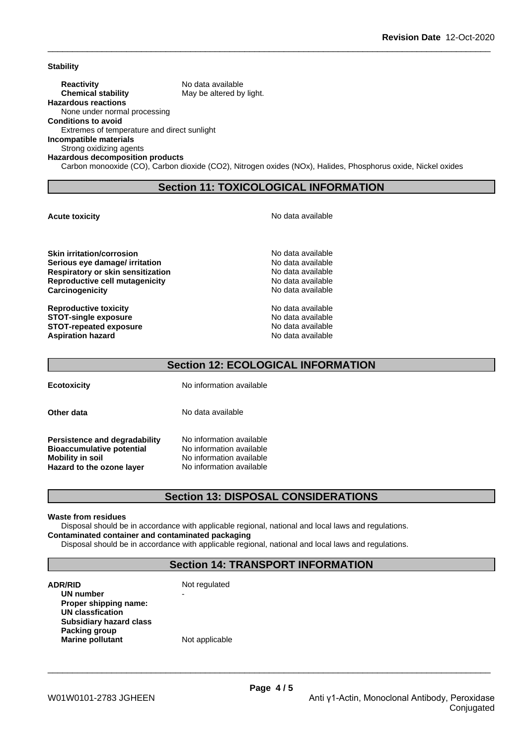**Stability**

**Reactivity** No data available **Chemical stability** May be altered by light.

**Hazardous reactions** None under normal processing

**Conditions to avoid**

Extremes of temperature and direct sunlight

**Incompatible materials**

Strong oxidizing agents **Hazardous decomposition products**

Carbon monooxide (CO), Carbon dioxide (CO2), Nitrogen oxides (NOx), Halides, Phosphorus oxide, Nickel oxides

## **Section 11: TOXICOLOGICAL INFORMATION**

**Acute toxicity Acute toxicity Acute has a structure in the structure of**  $\mathbb{R}^n$  **No data available** 

**Skin irritation/corrosion** No data available **Serious eye damage/ irritation No data available No data available Respiratory or skin sensitization** No data available **Reproductive cell mutagenicity** No data available **Carcinogenicity Carcinogenicity No data available** 

**Reproductive toxicity**<br> **Reproductive toxicity**<br> **STOT-single exposure**<br> **No data available STOT-single exposure**<br> **STOT-repeated exposure**<br> **STOT-repeated exposure STOT-repeated exposure Aspiration hazard** No data available

## **Section 12: ECOLOGICAL INFORMATION**

**Ecotoxicity** No information available

**Other data** No data available

**Persistence and degradability** No information available **Bioaccumulative potential** No information available **Mobility in soil**<br> **Hazard to the ozone layer** Mo information available **Hazard to the ozone layer** 

## **Section 13: DISPOSAL CONSIDERATIONS**

#### **Waste from residues**

Disposal should be in accordance with applicable regional, national and local laws and regulations. **Contaminated container and contaminated packaging**

Disposal should be in accordance with applicable regional, national and local laws and regulations.

## **Section 14: TRANSPORT INFORMATION**

**ADR/RID** Not regulated **UN number Proper shipping name: UN classfication Subsidiary hazard class Packing group Marine** pollutant